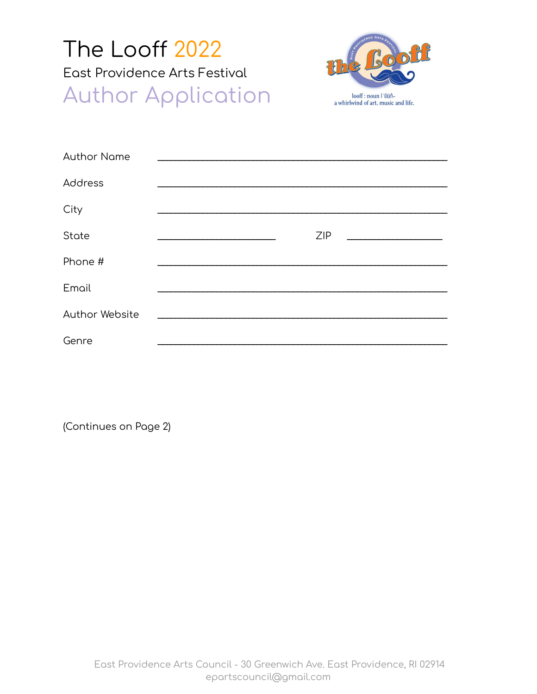## The Looff 2022 East Providence Arts Festival **Author Application**



| <b>Author Name</b> |  |     |  |  |
|--------------------|--|-----|--|--|
| Address            |  |     |  |  |
| City               |  |     |  |  |
| State              |  | ZIP |  |  |
| Phone #            |  |     |  |  |
| Email              |  |     |  |  |
| Author Website     |  |     |  |  |
| Genre              |  |     |  |  |

(Continues on Page 2)